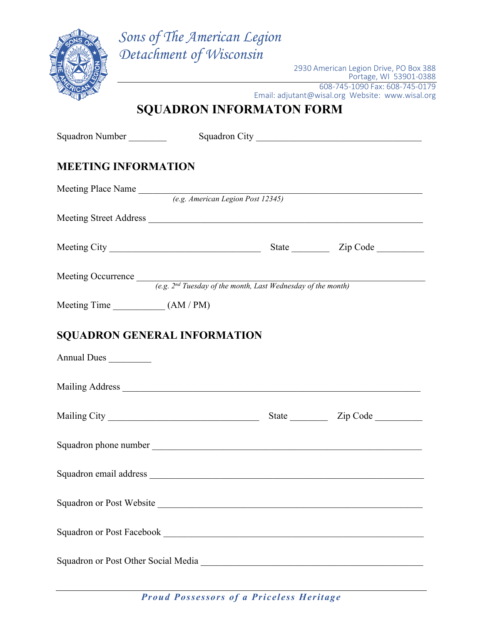

2930 American Legion Drive, PO Box 388 Portage, WI 53901-0388

608-745-1090 Fax: 608-745-0179 Email: adjutant@wisal.org Website: www.wisal.org

## **SQUADRON INFORMATON FORM**

| <b>MEETING INFORMATION</b> |                                                                                            |  |
|----------------------------|--------------------------------------------------------------------------------------------|--|
|                            | Meeting Place Name (e.g. American Legion Post 12345)                                       |  |
|                            |                                                                                            |  |
|                            |                                                                                            |  |
|                            |                                                                                            |  |
|                            | Meeting Occurrence $\frac{e.g. 2^{nd} Tuesday of the month, Last Wednesday of the month)}$ |  |
|                            |                                                                                            |  |
|                            |                                                                                            |  |
| Annual Dues                |                                                                                            |  |
|                            |                                                                                            |  |
|                            |                                                                                            |  |
|                            |                                                                                            |  |
|                            | Squadron or Post Website                                                                   |  |
|                            |                                                                                            |  |
|                            |                                                                                            |  |

*Proud Possessors of a Priceless Heritage*